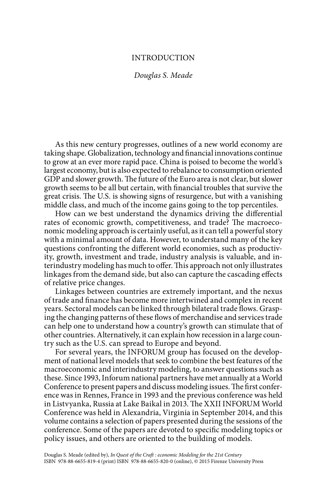## INTRODUCTION

*Douglas S. Meade*

As this new century progresses, outlines of a new world economy are taking shape. Globalization, technology and financial innovations continue to grow at an ever more rapid pace. China is poised to become the world's largest economy, but is also expected to rebalance to consumption oriented GDP and slower growth. The future of the Euro area is not clear, but slower growth seems to be all but certain, with financial troubles that survive the great crisis. The U.S. is showing signs of resurgence, but with a vanishing middle class, and much of the income gains going to the top percentiles.

How can we best understand the dynamics driving the differential rates of economic growth, competitiveness, and trade? The macroeconomic modeling approach is certainly useful, as it can tell a powerful story with a minimal amount of data. However, to understand many of the key questions confronting the different world economies, such as productivity, growth, investment and trade, industry analysis is valuable, and interindustry modeling has much to offer. This approach not only illustrates linkages from the demand side, but also can capture the cascading effects of relative price changes.

Linkages between countries are extremely important, and the nexus of trade and finance has become more intertwined and complex in recent years. Sectoral models can be linked through bilateral trade flows. Grasping the changing patterns of these flows of merchandise and services trade can help one to understand how a country's growth can stimulate that of other countries. Alternatively, it can explain how recession in a large country such as the U.S. can spread to Europe and beyond.

For several years, the INFORUM group has focused on the development of national level models that seek to combine the best features of the macroeconomic and interindustry modeling, to answer questions such as these. Since 1993, Inforum national partners have met annually at a World Conference to present papers and discuss modeling issues. The first conference was in Rennes, France in 1993 and the previous conference was held in Listvyanka, Russia at Lake Baikal in 2013. The XXII INFORUM World Conference was held in Alexandria, Virginia in September 2014, and this volume contains a selection of papers presented during the sessions of the conference. Some of the papers are devoted to specific modeling topics or policy issues, and others are oriented to the building of models.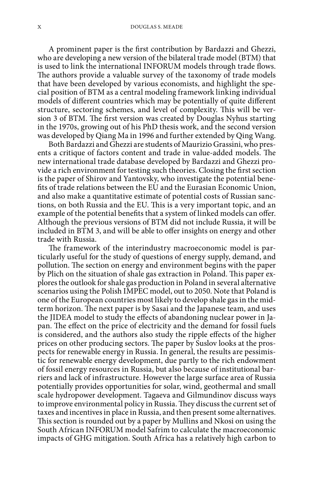A prominent paper is the first contribution by Bardazzi and Ghezzi, who are developing a new version of the bilateral trade model (BTM) that is used to link the international INFORUM models through trade flows. The authors provide a valuable survey of the taxonomy of trade models that have been developed by various economists, and highlight the special position of BTM as a central modeling framework linking individual models of different countries which may be potentially of quite different structure, sectoring schemes, and level of complexity. This will be version 3 of BTM. The first version was created by Douglas Nyhus starting in the 1970s, growing out of his PhD thesis work, and the second version was developed by Qiang Ma in 1996 and further extended by Qing Wang.

Both Bardazzi and Ghezzi are students of Maurizio Grassini, who presents a critique of factors content and trade in value-added models. The new international trade database developed by Bardazzi and Ghezzi provide a rich environment for testing such theories. Closing the first section is the paper of Shirov and Yantovsky, who investigate the potential benefits of trade relations between the EU and the Eurasian Economic Union, and also make a quantitative estimate of potential costs of Russian sanctions, on both Russia and the EU. This is a very important topic, and an example of the potential benefits that a system of linked models can offer. Although the previous versions of BTM did not include Russia, it will be included in BTM 3, and will be able to offer insights on energy and other trade with Russia.

The framework of the interindustry macroeconomic model is particularly useful for the study of questions of energy supply, demand, and pollution. The section on energy and environment begins with the paper by Plich on the situation of shale gas extraction in Poland. This paper explores the outlook for shale gas production in Poland in several alternative scenarios using the Polish IMPEC model, out to 2050. Note that Poland is one of the European countries most likely to develop shale gas in the midterm horizon. The next paper is by Sasai and the Japanese team, and uses the JIDEA model to study the effects of abandoning nuclear power in Japan. The effect on the price of electricity and the demand for fossil fuels is considered, and the authors also study the ripple effects of the higher prices on other producing sectors. The paper by Suslov looks at the prospects for renewable energy in Russia. In general, the results are pessimistic for renewable energy development, due partly to the rich endowment of fossil energy resources in Russia, but also because of institutional barriers and lack of infrastructure. However the large surface area of Russia potentially provides opportunities for solar, wind, geothermal and small scale hydropower development. Tagaeva and Gilmundinov discuss ways to improve environmental policy in Russia. They discuss the current set of taxes and incentives in place in Russia, and then present some alternatives. This section is rounded out by a paper by Mullins and Nkosi on using the South African INFORUM model Safrim to calculate the macroeconomic impacts of GHG mitigation. South Africa has a relatively high carbon to